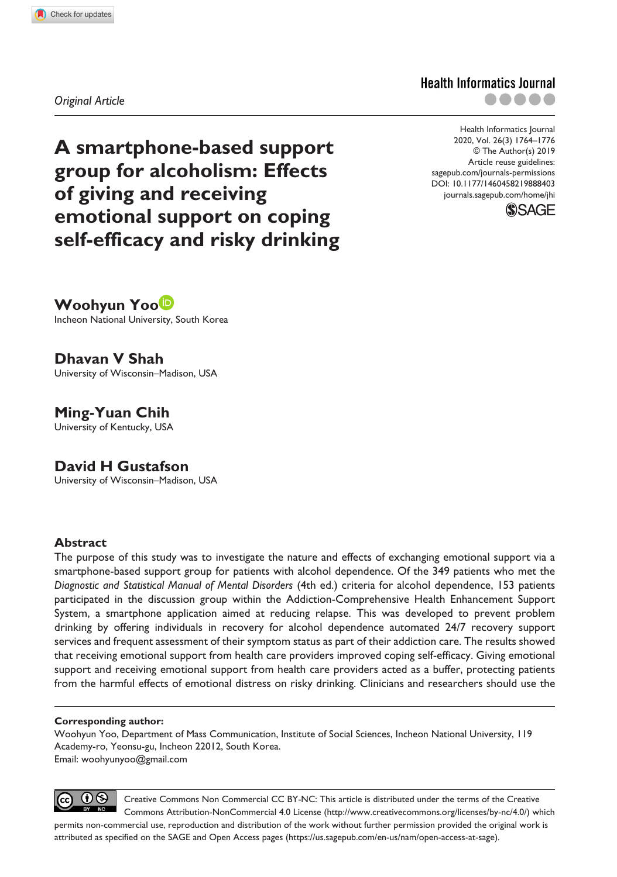### *Original Article*

**A smartphone-based support group for alcoholism: Effects of giving and receiving emotional support on coping self-efficacy and risky drinking** DOI: 10.1177/1460458219888403 Health Informatics Journal 2020, Vol. 26(3) 1764–1776 © The Author(s) 2019 Article reuse guidelines: [sagepub.com/journals-permissions](https://uk.sagepub.com/en-gb/journals-permissions) [journals.sagepub.com/home/jhi](https://journals.sagepub.com/home/jhi)

**Health Informatics Journal** 



**Woohyun Yoo** Incheon National University, South Korea

**Dhavan V Shah** University of Wisconsin–Madison, USA

**Ming-Yuan Chih**

University of Kentucky, USA

# **David H Gustafson**

University of Wisconsin–Madison, USA

## **Abstract**

The purpose of this study was to investigate the nature and effects of exchanging emotional support via a smartphone-based support group for patients with alcohol dependence. Of the 349 patients who met the *Diagnostic and Statistical Manual of Mental Disorders* (4th ed.) criteria for alcohol dependence, 153 patients participated in the discussion group within the Addiction-Comprehensive Health Enhancement Support System, a smartphone application aimed at reducing relapse. This was developed to prevent problem drinking by offering individuals in recovery for alcohol dependence automated 24/7 recovery support services and frequent assessment of their symptom status as part of their addiction care. The results showed that receiving emotional support from health care providers improved coping self-efficacy. Giving emotional support and receiving emotional support from health care providers acted as a buffer, protecting patients from the harmful effects of emotional distress on risky drinking. Clinicians and researchers should use the

#### **Corresponding author:**

Woohyun Yoo, Department of Mass Communication, Institute of Social Sciences, Incheon National University, 119 Academy-ro, Yeonsu-gu, Incheon 22012, South Korea. Email: [woohyunyoo@gmail.com](mailto:woohyunyoo@gmail.com)



Creative Commons Non Commercial CC BY-NC: This article is distributed under the terms of the Creative Commons Attribution-NonCommercial 4.0 License (http://www.creativecommons.org/licenses/by-nc/4.0/) which

permits non-commercial use, reproduction and distribution of the work without further permission provided the original work is attributed as specified on the SAGE and Open Access pages (https://us.sagepub.com/en-us/nam/open-access-at-sage).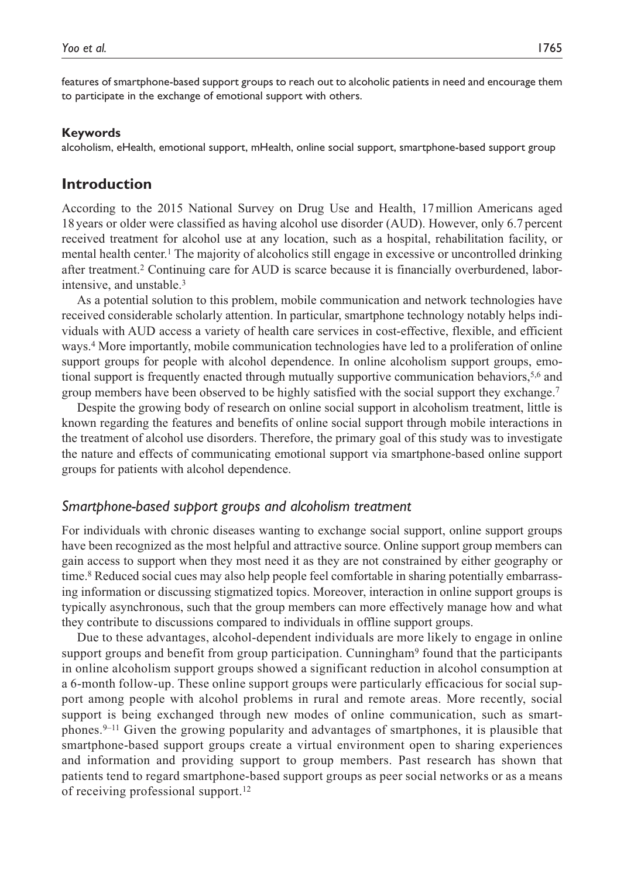features of smartphone-based support groups to reach out to alcoholic patients in need and encourage them to participate in the exchange of emotional support with others.

#### **Keywords**

alcoholism, eHealth, emotional support, mHealth, online social support, smartphone-based support group

## **Introduction**

According to the 2015 National Survey on Drug Use and Health, 17million Americans aged 18 years or older were classified as having alcohol use disorder (AUD). However, only 6.7 percent received treatment for alcohol use at any location, such as a hospital, rehabilitation facility, or mental health center.<sup>1</sup> The majority of alcoholics still engage in excessive or uncontrolled drinking after treatment.<sup>2</sup> Continuing care for AUD is scarce because it is financially overburdened, laborintensive, and unstable.3

As a potential solution to this problem, mobile communication and network technologies have received considerable scholarly attention. In particular, smartphone technology notably helps individuals with AUD access a variety of health care services in cost-effective, flexible, and efficient ways.4 More importantly, mobile communication technologies have led to a proliferation of online support groups for people with alcohol dependence. In online alcoholism support groups, emotional support is frequently enacted through mutually supportive communication behaviors,<sup>5,6</sup> and group members have been observed to be highly satisfied with the social support they exchange.7

Despite the growing body of research on online social support in alcoholism treatment, little is known regarding the features and benefits of online social support through mobile interactions in the treatment of alcohol use disorders. Therefore, the primary goal of this study was to investigate the nature and effects of communicating emotional support via smartphone-based online support groups for patients with alcohol dependence.

### *Smartphone-based support groups and alcoholism treatment*

For individuals with chronic diseases wanting to exchange social support, online support groups have been recognized as the most helpful and attractive source. Online support group members can gain access to support when they most need it as they are not constrained by either geography or time.<sup>8</sup> Reduced social cues may also help people feel comfortable in sharing potentially embarrassing information or discussing stigmatized topics. Moreover, interaction in online support groups is typically asynchronous, such that the group members can more effectively manage how and what they contribute to discussions compared to individuals in offline support groups.

Due to these advantages, alcohol-dependent individuals are more likely to engage in online support groups and benefit from group participation. Cunningham<sup>9</sup> found that the participants in online alcoholism support groups showed a significant reduction in alcohol consumption at a 6-month follow-up. These online support groups were particularly efficacious for social support among people with alcohol problems in rural and remote areas. More recently, social support is being exchanged through new modes of online communication, such as smartphones.9–11 Given the growing popularity and advantages of smartphones, it is plausible that smartphone-based support groups create a virtual environment open to sharing experiences and information and providing support to group members. Past research has shown that patients tend to regard smartphone-based support groups as peer social networks or as a means of receiving professional support.12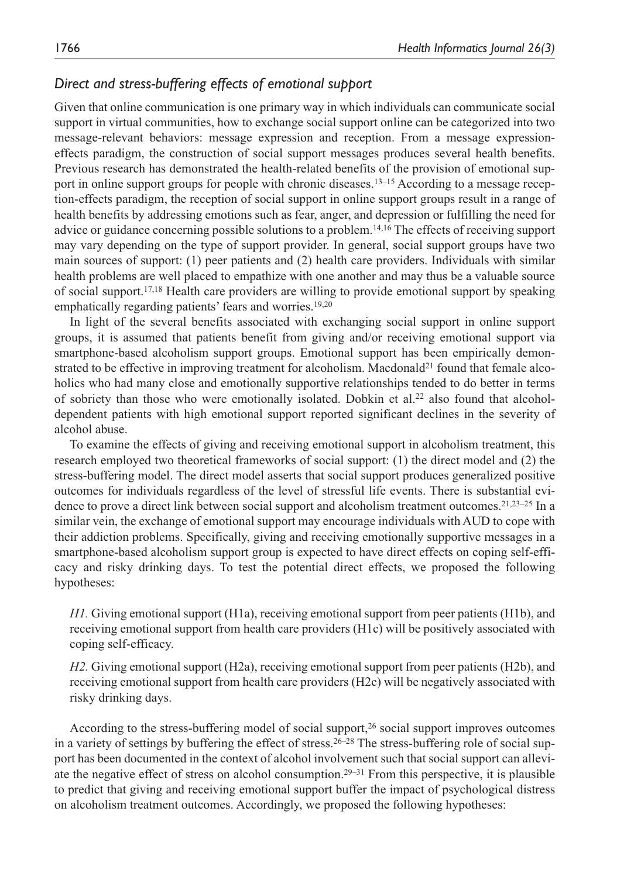# *Direct and stress-buffering effects of emotional support*

Given that online communication is one primary way in which individuals can communicate social support in virtual communities, how to exchange social support online can be categorized into two message-relevant behaviors: message expression and reception. From a message expressioneffects paradigm, the construction of social support messages produces several health benefits. Previous research has demonstrated the health-related benefits of the provision of emotional support in online support groups for people with chronic diseases.<sup>13–15</sup> According to a message reception-effects paradigm, the reception of social support in online support groups result in a range of health benefits by addressing emotions such as fear, anger, and depression or fulfilling the need for advice or guidance concerning possible solutions to a problem.14,16 The effects of receiving support may vary depending on the type of support provider. In general, social support groups have two main sources of support: (1) peer patients and (2) health care providers. Individuals with similar health problems are well placed to empathize with one another and may thus be a valuable source of social support.17,18 Health care providers are willing to provide emotional support by speaking emphatically regarding patients' fears and worries.<sup>19,20</sup>

In light of the several benefits associated with exchanging social support in online support groups, it is assumed that patients benefit from giving and/or receiving emotional support via smartphone-based alcoholism support groups. Emotional support has been empirically demonstrated to be effective in improving treatment for alcoholism. Macdonald<sup>21</sup> found that female alcoholics who had many close and emotionally supportive relationships tended to do better in terms of sobriety than those who were emotionally isolated. Dobkin et al.<sup>22</sup> also found that alcoholdependent patients with high emotional support reported significant declines in the severity of alcohol abuse.

To examine the effects of giving and receiving emotional support in alcoholism treatment, this research employed two theoretical frameworks of social support: (1) the direct model and (2) the stress-buffering model. The direct model asserts that social support produces generalized positive outcomes for individuals regardless of the level of stressful life events. There is substantial evidence to prove a direct link between social support and alcoholism treatment outcomes.21,23–25 In a similar vein, the exchange of emotional support may encourage individuals with AUD to cope with their addiction problems. Specifically, giving and receiving emotionally supportive messages in a smartphone-based alcoholism support group is expected to have direct effects on coping self-efficacy and risky drinking days. To test the potential direct effects, we proposed the following hypotheses:

*H1*. Giving emotional support (H1a), receiving emotional support from peer patients (H1b), and receiving emotional support from health care providers (H1c) will be positively associated with coping self-efficacy.

*H2*. Giving emotional support (H2a), receiving emotional support from peer patients (H2b), and receiving emotional support from health care providers (H2c) will be negatively associated with risky drinking days.

According to the stress-buffering model of social support,<sup>26</sup> social support improves outcomes in a variety of settings by buffering the effect of stress.<sup>26–28</sup> The stress-buffering role of social support has been documented in the context of alcohol involvement such that social support can alleviate the negative effect of stress on alcohol consumption.29–31 From this perspective, it is plausible to predict that giving and receiving emotional support buffer the impact of psychological distress on alcoholism treatment outcomes. Accordingly, we proposed the following hypotheses: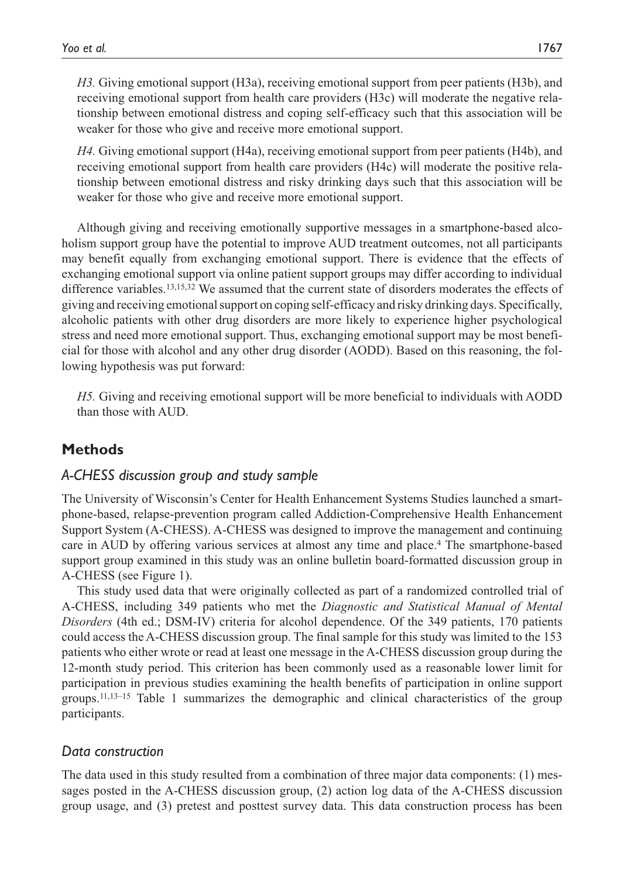*H3.* Giving emotional support (H3a), receiving emotional support from peer patients (H3b), and receiving emotional support from health care providers (H3c) will moderate the negative relationship between emotional distress and coping self-efficacy such that this association will be weaker for those who give and receive more emotional support.

*H4.* Giving emotional support (H4a), receiving emotional support from peer patients (H4b), and receiving emotional support from health care providers (H4c) will moderate the positive relationship between emotional distress and risky drinking days such that this association will be weaker for those who give and receive more emotional support.

Although giving and receiving emotionally supportive messages in a smartphone-based alcoholism support group have the potential to improve AUD treatment outcomes, not all participants may benefit equally from exchanging emotional support. There is evidence that the effects of exchanging emotional support via online patient support groups may differ according to individual difference variables.13,15,32 We assumed that the current state of disorders moderates the effects of giving and receiving emotional support on coping self-efficacy and risky drinking days. Specifically, alcoholic patients with other drug disorders are more likely to experience higher psychological stress and need more emotional support. Thus, exchanging emotional support may be most beneficial for those with alcohol and any other drug disorder (AODD). Based on this reasoning, the following hypothesis was put forward:

*H5.* Giving and receiving emotional support will be more beneficial to individuals with AODD than those with AUD.

# **Methods**

# *A-CHESS discussion group and study sample*

The University of Wisconsin's Center for Health Enhancement Systems Studies launched a smartphone-based, relapse-prevention program called Addiction-Comprehensive Health Enhancement Support System (A-CHESS). A-CHESS was designed to improve the management and continuing care in AUD by offering various services at almost any time and place.4 The smartphone-based support group examined in this study was an online bulletin board-formatted discussion group in A-CHESS (see Figure 1).

This study used data that were originally collected as part of a randomized controlled trial of A-CHESS, including 349 patients who met the *Diagnostic and Statistical Manual of Mental Disorders* (4th ed.; DSM-IV) criteria for alcohol dependence. Of the 349 patients, 170 patients could access the A-CHESS discussion group. The final sample for this study was limited to the 153 patients who either wrote or read at least one message in the A-CHESS discussion group during the 12-month study period. This criterion has been commonly used as a reasonable lower limit for participation in previous studies examining the health benefits of participation in online support groups.11,13–15 Table 1 summarizes the demographic and clinical characteristics of the group participants.

## *Data construction*

The data used in this study resulted from a combination of three major data components: (1) messages posted in the A-CHESS discussion group, (2) action log data of the A-CHESS discussion group usage, and (3) pretest and posttest survey data. This data construction process has been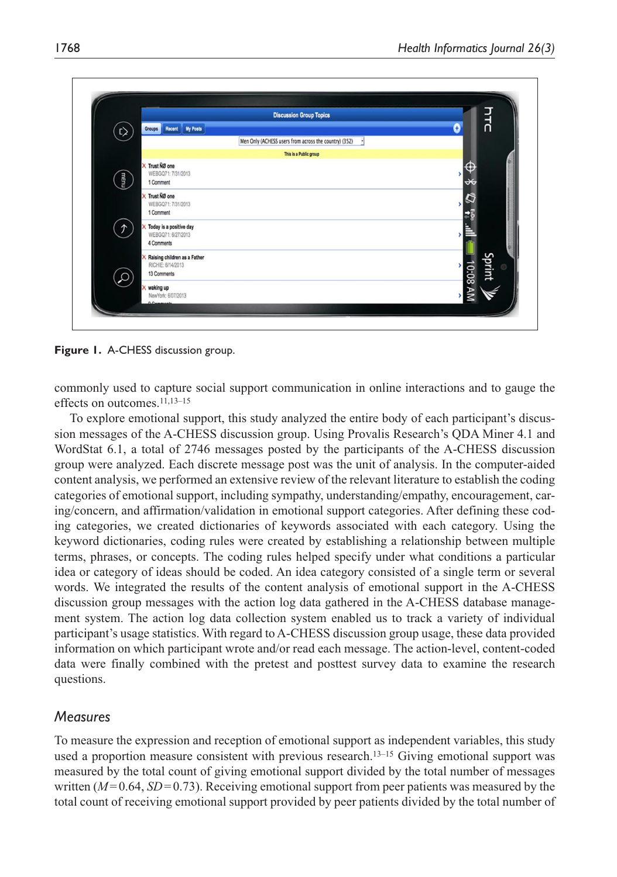

**Figure 1.** A-CHESS discussion group.

commonly used to capture social support communication in online interactions and to gauge the effects on outcomes.11,13–15

To explore emotional support, this study analyzed the entire body of each participant's discussion messages of the A-CHESS discussion group. Using Provalis Research's QDA Miner 4.1 and WordStat 6.1, a total of 2746 messages posted by the participants of the A-CHESS discussion group were analyzed. Each discrete message post was the unit of analysis. In the computer-aided content analysis, we performed an extensive review of the relevant literature to establish the coding categories of emotional support, including sympathy, understanding/empathy, encouragement, caring/concern, and affirmation/validation in emotional support categories. After defining these coding categories, we created dictionaries of keywords associated with each category. Using the keyword dictionaries, coding rules were created by establishing a relationship between multiple terms, phrases, or concepts. The coding rules helped specify under what conditions a particular idea or category of ideas should be coded. An idea category consisted of a single term or several words. We integrated the results of the content analysis of emotional support in the A-CHESS discussion group messages with the action log data gathered in the A-CHESS database management system. The action log data collection system enabled us to track a variety of individual participant's usage statistics. With regard to A-CHESS discussion group usage, these data provided information on which participant wrote and/or read each message. The action-level, content-coded data were finally combined with the pretest and posttest survey data to examine the research questions.

# *Measures*

To measure the expression and reception of emotional support as independent variables, this study used a proportion measure consistent with previous research.<sup>13–15</sup> Giving emotional support was measured by the total count of giving emotional support divided by the total number of messages written  $(M=0.64, SD=0.73)$ . Receiving emotional support from peer patients was measured by the total count of receiving emotional support provided by peer patients divided by the total number of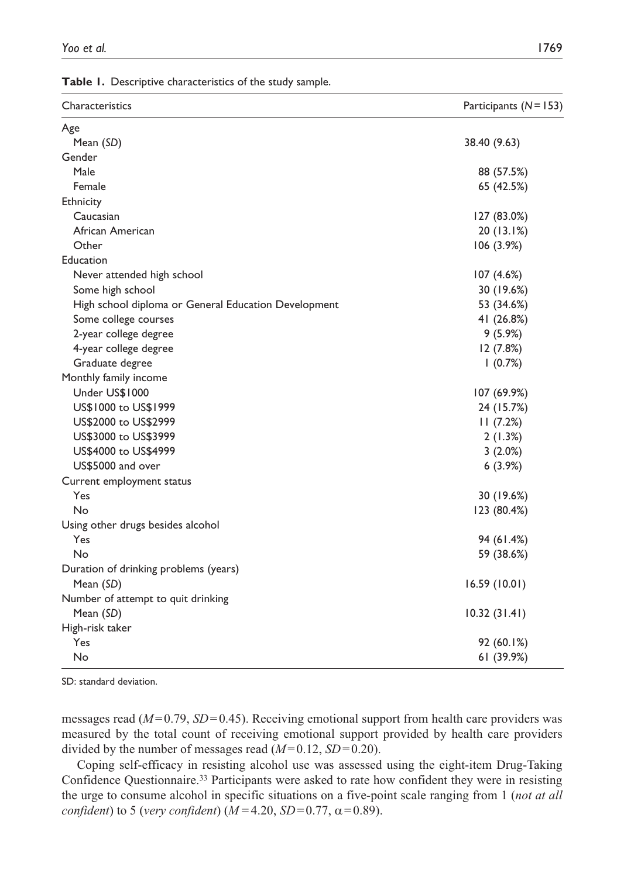| Characteristics                                      | Participants (N = 153) |
|------------------------------------------------------|------------------------|
| Age                                                  |                        |
| Mean (SD)                                            | 38.40 (9.63)           |
| Gender                                               |                        |
| Male                                                 | 88 (57.5%)             |
| Female                                               | 65 (42.5%)             |
| Ethnicity                                            |                        |
| Caucasian                                            | 127 (83.0%)            |
| African American                                     | 20(13.1%)              |
| Other                                                | 106(3.9%)              |
| Education                                            |                        |
| Never attended high school                           | 107 (4.6%)             |
| Some high school                                     | 30 (19.6%)             |
| High school diploma or General Education Development | 53 (34.6%)             |
| Some college courses                                 | 41 (26.8%)             |
| 2-year college degree                                | 9(5.9%)                |
| 4-year college degree                                | 12 (7.8%)              |
| Graduate degree                                      | 1(0.7%)                |
| Monthly family income                                |                        |
| Under US\$1000                                       | 107 (69.9%)            |
| US\$1000 to US\$1999                                 | 24 (15.7%)             |
| US\$2000 to US\$2999                                 | 11(7.2%)               |
| US\$3000 to US\$3999                                 | 2(1.3%)                |
| US\$4000 to US\$4999                                 | 3(2.0%)                |
| US\$5000 and over                                    | 6(3.9%)                |
| Current employment status                            |                        |
| Yes                                                  | 30 (19.6%)             |
| No                                                   | 123 (80.4%)            |
| Using other drugs besides alcohol                    |                        |
| Yes                                                  | 94 (61.4%)             |
| No                                                   | 59 (38.6%)             |
| Duration of drinking problems (years)                |                        |
| Mean (SD)                                            | 16.59 (10.01)          |
| Number of attempt to quit drinking                   |                        |
| Mean (SD)                                            | 10.32(31.41)           |
| High-risk taker                                      |                        |
| Yes                                                  | 92(60.1%)              |
| No                                                   | 61 (39.9%)             |

SD: standard deviation.

messages read ( $M=0.79$ ,  $SD=0.45$ ). Receiving emotional support from health care providers was measured by the total count of receiving emotional support provided by health care providers divided by the number of messages read  $(M=0.12, SD=0.20)$ .

Coping self-efficacy in resisting alcohol use was assessed using the eight-item Drug-Taking Confidence Questionnaire.33 Participants were asked to rate how confident they were in resisting the urge to consume alcohol in specific situations on a five-point scale ranging from 1 (*not at all confident*) to 5 (*very confident*) ( $M=4.20$ ,  $SD=0.77$ ,  $\alpha=0.89$ ).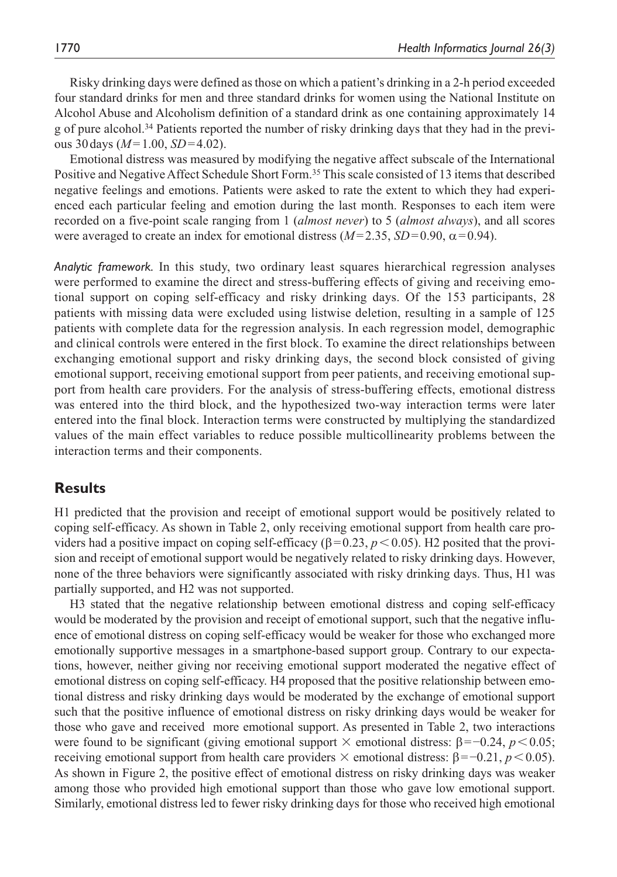Risky drinking days were defined as those on which a patient's drinking in a 2-h period exceeded four standard drinks for men and three standard drinks for women using the National Institute on Alcohol Abuse and Alcoholism definition of a standard drink as one containing approximately 14 g of pure alcohol.34 Patients reported the number of risky drinking days that they had in the previous 30 days (*M*=1.00, *SD*=4.02).

Emotional distress was measured by modifying the negative affect subscale of the International Positive and Negative Affect Schedule Short Form.35 This scale consisted of 13 items that described negative feelings and emotions. Patients were asked to rate the extent to which they had experienced each particular feeling and emotion during the last month. Responses to each item were recorded on a five-point scale ranging from 1 (*almost never*) to 5 (*almost always*), and all scores were averaged to create an index for emotional distress ( $M=2.35$ ,  $SD=0.90$ ,  $\alpha=0.94$ ).

*Analytic framework.* In this study, two ordinary least squares hierarchical regression analyses were performed to examine the direct and stress-buffering effects of giving and receiving emotional support on coping self-efficacy and risky drinking days. Of the 153 participants, 28 patients with missing data were excluded using listwise deletion, resulting in a sample of 125 patients with complete data for the regression analysis. In each regression model, demographic and clinical controls were entered in the first block. To examine the direct relationships between exchanging emotional support and risky drinking days, the second block consisted of giving emotional support, receiving emotional support from peer patients, and receiving emotional support from health care providers. For the analysis of stress-buffering effects, emotional distress was entered into the third block, and the hypothesized two-way interaction terms were later entered into the final block. Interaction terms were constructed by multiplying the standardized values of the main effect variables to reduce possible multicollinearity problems between the interaction terms and their components.

# **Results**

H1 predicted that the provision and receipt of emotional support would be positively related to coping self-efficacy. As shown in Table 2, only receiving emotional support from health care providers had a positive impact on coping self-efficacy ( $\beta$ =0.23, *p* < 0.05). H2 posited that the provision and receipt of emotional support would be negatively related to risky drinking days. However, none of the three behaviors were significantly associated with risky drinking days. Thus, H1 was partially supported, and H2 was not supported.

H3 stated that the negative relationship between emotional distress and coping self-efficacy would be moderated by the provision and receipt of emotional support, such that the negative influence of emotional distress on coping self-efficacy would be weaker for those who exchanged more emotionally supportive messages in a smartphone-based support group. Contrary to our expectations, however, neither giving nor receiving emotional support moderated the negative effect of emotional distress on coping self-efficacy. H4 proposed that the positive relationship between emotional distress and risky drinking days would be moderated by the exchange of emotional support such that the positive influence of emotional distress on risky drinking days would be weaker for those who gave and received more emotional support. As presented in Table 2, two interactions were found to be significant (giving emotional support  $\times$  emotional distress:  $\beta = -0.24$ ,  $p < 0.05$ ; receiving emotional support from health care providers  $\times$  emotional distress:  $β = 0.21$ ,  $p < 0.05$ ). As shown in Figure 2, the positive effect of emotional distress on risky drinking days was weaker among those who provided high emotional support than those who gave low emotional support. Similarly, emotional distress led to fewer risky drinking days for those who received high emotional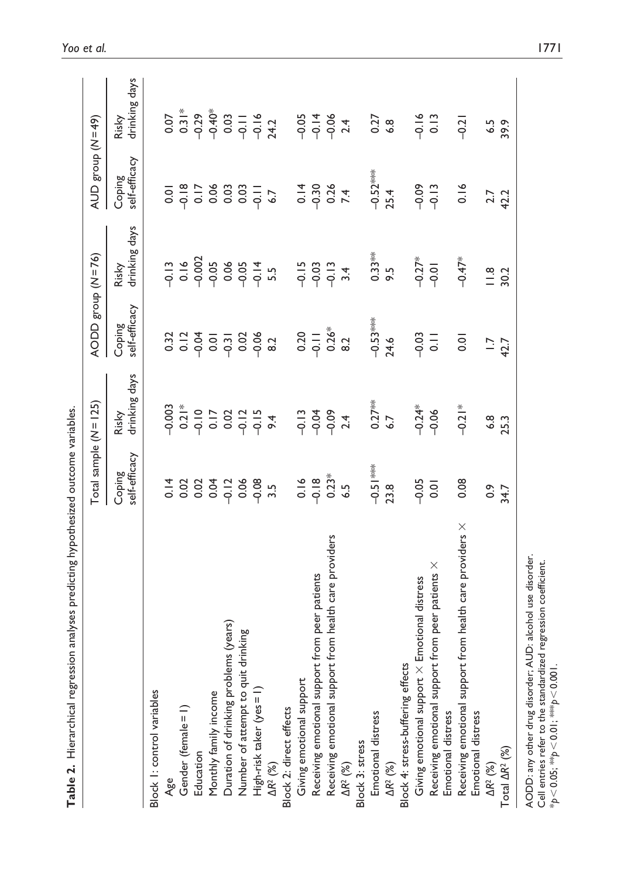|                                                                        | Total sample $(N = 125)$                                                                                                                                                                                                                                                                                                                                                                                                                                   |                                                    | AODD $\text{group}$ (N = 76)                                        |                                                                                                                                                                                                                                                                                                                      | AUD group $(N=49)$                                 |                                                                                                                                       |
|------------------------------------------------------------------------|------------------------------------------------------------------------------------------------------------------------------------------------------------------------------------------------------------------------------------------------------------------------------------------------------------------------------------------------------------------------------------------------------------------------------------------------------------|----------------------------------------------------|---------------------------------------------------------------------|----------------------------------------------------------------------------------------------------------------------------------------------------------------------------------------------------------------------------------------------------------------------------------------------------------------------|----------------------------------------------------|---------------------------------------------------------------------------------------------------------------------------------------|
|                                                                        | self-efficacy<br>Coping                                                                                                                                                                                                                                                                                                                                                                                                                                    | drinking days<br>Risky                             | self-efficacy<br>Coping                                             | drinking days<br>Risky                                                                                                                                                                                                                                                                                               | self-efficacy<br>Coping                            | drinking days<br>Risky                                                                                                                |
| Block I: control variables                                             |                                                                                                                                                                                                                                                                                                                                                                                                                                                            |                                                    |                                                                     |                                                                                                                                                                                                                                                                                                                      |                                                    |                                                                                                                                       |
| Age                                                                    |                                                                                                                                                                                                                                                                                                                                                                                                                                                            |                                                    |                                                                     |                                                                                                                                                                                                                                                                                                                      |                                                    |                                                                                                                                       |
| Gender (female = 1)                                                    |                                                                                                                                                                                                                                                                                                                                                                                                                                                            |                                                    |                                                                     |                                                                                                                                                                                                                                                                                                                      |                                                    |                                                                                                                                       |
| Education                                                              |                                                                                                                                                                                                                                                                                                                                                                                                                                                            |                                                    |                                                                     |                                                                                                                                                                                                                                                                                                                      |                                                    |                                                                                                                                       |
| Monthly family income                                                  |                                                                                                                                                                                                                                                                                                                                                                                                                                                            |                                                    |                                                                     |                                                                                                                                                                                                                                                                                                                      |                                                    |                                                                                                                                       |
| rears)<br>Duration of drinking problems (y                             | $\begin{array}{c}\n 1 \\  1 \\  2 \\  3 \\  4 \\  5 \\  6 \\  7 \\  8 \\  9 \\  1 \\  1 \\  1 \\  2 \\  3 \\  5 \\  6 \\  7 \\  8 \\  9 \\  1 \\  1 \\  1 \\  2 \\  3 \\  5 \\  6 \\  9 \\  1 \\  1 \\  2 \\  3 \\  4 \\  5 \\  6 \\  7 \\  9 \\  1 \\  1 \\  2 \\  3 \\  4 \\  5 \\  6 \\  7 \\  9 \\  1 \\  1 \\  2 \\  3 \\  4 \\  5 \\  6 \\  7 \\  8 \\  9 \\  1 \\  1 \\  1 \\  2 \\  3 \\  4 \\  5 \\  6 \\  7 \\  8 \\  9 \\  1 \\  1 \\  1 \\  2$ |                                                    |                                                                     |                                                                                                                                                                                                                                                                                                                      |                                                    |                                                                                                                                       |
| Number of attempt to quit drinking                                     |                                                                                                                                                                                                                                                                                                                                                                                                                                                            |                                                    |                                                                     |                                                                                                                                                                                                                                                                                                                      |                                                    |                                                                                                                                       |
| High-risk taker (yes = 1)                                              |                                                                                                                                                                                                                                                                                                                                                                                                                                                            |                                                    |                                                                     |                                                                                                                                                                                                                                                                                                                      |                                                    |                                                                                                                                       |
| AR <sup>2</sup> (%)                                                    |                                                                                                                                                                                                                                                                                                                                                                                                                                                            | 00 *<br>0 0 1 0 1 0 1 0 1 0 4<br>0 0 0 0 0 0 0 0 0 | $3.2357$<br>$3.557$<br>$3.5757$<br>$3.5757$<br>$3.5757$<br>$3.5757$ | $\frac{1}{10}$ $\frac{1}{2}$ $\frac{1}{6}$ $\frac{1}{6}$ $\frac{1}{6}$ $\frac{1}{6}$ $\frac{1}{6}$ $\frac{1}{6}$ $\frac{1}{6}$ $\frac{1}{6}$ $\frac{1}{6}$ $\frac{1}{6}$ $\frac{1}{6}$ $\frac{1}{6}$ $\frac{1}{6}$ $\frac{1}{6}$ $\frac{1}{6}$ $\frac{1}{6}$ $\frac{1}{6}$ $\frac{1}{6}$ $\frac{1}{6}$ $\frac{1}{6}$ |                                                    | $0.5\frac{*}{0.7}$<br>$0.29\frac{*}{0.7}$<br>$0.39\frac{*}{0.7}$<br>$0.59\frac{*}{0.7}$<br>$0.59\frac{*}{0.7}$<br>$0.59\frac{*}{0.7}$ |
| Block 2: direct effects                                                |                                                                                                                                                                                                                                                                                                                                                                                                                                                            |                                                    |                                                                     |                                                                                                                                                                                                                                                                                                                      |                                                    |                                                                                                                                       |
| Giving emotional support                                               |                                                                                                                                                                                                                                                                                                                                                                                                                                                            |                                                    |                                                                     |                                                                                                                                                                                                                                                                                                                      |                                                    |                                                                                                                                       |
| Receiving emotional support from peer patients                         |                                                                                                                                                                                                                                                                                                                                                                                                                                                            |                                                    |                                                                     |                                                                                                                                                                                                                                                                                                                      |                                                    |                                                                                                                                       |
| Receiving emotional support from health care providers                 | $0.\overline{18}$<br>$-0.\overline{18}$<br>$0.\overline{23}$<br>$6.\overline{5}$                                                                                                                                                                                                                                                                                                                                                                           | $-3.8$<br>$-3.8$<br>$-3.8$<br>$-3.4$               | $0.20$<br>$-0.11$<br>$0.26*$<br>8.2                                 | $-9.15$<br>$-9.13$<br>$-9.13$<br>$-3.4$                                                                                                                                                                                                                                                                              | $\frac{4}{0}$ 30<br>$\frac{3}{0}$ 30 $\frac{4}{0}$ |                                                                                                                                       |
| $\Delta R^2$ (%)                                                       |                                                                                                                                                                                                                                                                                                                                                                                                                                                            |                                                    |                                                                     |                                                                                                                                                                                                                                                                                                                      |                                                    | $0.05$<br>$9.05$<br>$9.05$<br>$9.4$                                                                                                   |
| Block 3: stress                                                        |                                                                                                                                                                                                                                                                                                                                                                                                                                                            |                                                    |                                                                     |                                                                                                                                                                                                                                                                                                                      |                                                    |                                                                                                                                       |
| Emotional distress                                                     | $-0.51***$                                                                                                                                                                                                                                                                                                                                                                                                                                                 | $0.27***$<br>6.7                                   |                                                                     | $0.33**$<br>9.5                                                                                                                                                                                                                                                                                                      | $-0.52***$                                         | $0.27$<br>6.8                                                                                                                         |
| $\Delta R^2$ (%)                                                       | 23.8                                                                                                                                                                                                                                                                                                                                                                                                                                                       |                                                    | $-0.53***$<br>24.6                                                  |                                                                                                                                                                                                                                                                                                                      | 25.4                                               |                                                                                                                                       |
| Block 4: stress-buffering effects                                      |                                                                                                                                                                                                                                                                                                                                                                                                                                                            |                                                    |                                                                     |                                                                                                                                                                                                                                                                                                                      |                                                    |                                                                                                                                       |
| Giving emotional support $\times$ Emotional distress                   | $-0.05$                                                                                                                                                                                                                                                                                                                                                                                                                                                    | $-0.24*$                                           | $-0.03$                                                             | $-0.27*$                                                                                                                                                                                                                                                                                                             | $rac{0}{9}$ $rac{0}{9}$                            | $-0.13$                                                                                                                               |
| Receiving emotional support from peer patients X<br>Emotional distress | 0.01                                                                                                                                                                                                                                                                                                                                                                                                                                                       |                                                    | $\frac{1}{2}$                                                       | $-0.01$                                                                                                                                                                                                                                                                                                              |                                                    |                                                                                                                                       |
| Receiving emotional support from health care providers $\times$        | 0.08                                                                                                                                                                                                                                                                                                                                                                                                                                                       | $-0.21*$                                           | $\overline{0}$ .                                                    | $-0.47*$                                                                                                                                                                                                                                                                                                             | 0.16                                               | $-0.21$                                                                                                                               |
| Emotional distress                                                     |                                                                                                                                                                                                                                                                                                                                                                                                                                                            |                                                    |                                                                     |                                                                                                                                                                                                                                                                                                                      |                                                    |                                                                                                                                       |
| AR <sup>2</sup> (%)                                                    | $\frac{8}{2}$                                                                                                                                                                                                                                                                                                                                                                                                                                              | $6.8$<br>25.3                                      | $1.7$<br>42.7                                                       | $11.8$<br>30.2                                                                                                                                                                                                                                                                                                       | 2.7<br>42.2                                        | $6.5$<br>39.9                                                                                                                         |
| Total AR <sup>2</sup> (%)                                              | 34.7                                                                                                                                                                                                                                                                                                                                                                                                                                                       |                                                    |                                                                     |                                                                                                                                                                                                                                                                                                                      |                                                    |                                                                                                                                       |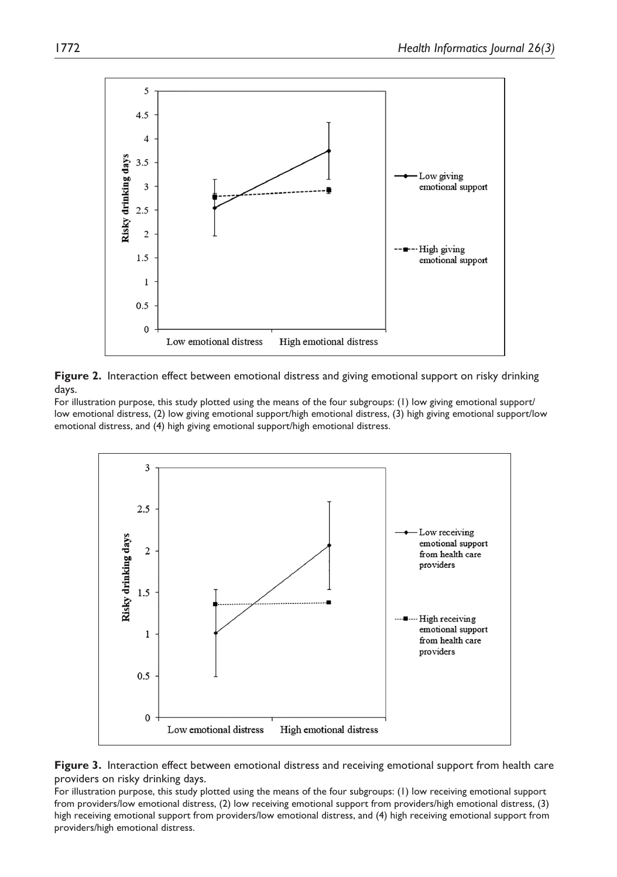

**Figure 2.** Interaction effect between emotional distress and giving emotional support on risky drinking days.

For illustration purpose, this study plotted using the means of the four subgroups: (1) low giving emotional support/ low emotional distress, (2) low giving emotional support/high emotional distress, (3) high giving emotional support/low emotional distress, and (4) high giving emotional support/high emotional distress.





For illustration purpose, this study plotted using the means of the four subgroups: (1) low receiving emotional support from providers/low emotional distress, (2) low receiving emotional support from providers/high emotional distress, (3) high receiving emotional support from providers/low emotional distress, and (4) high receiving emotional support from providers/high emotional distress.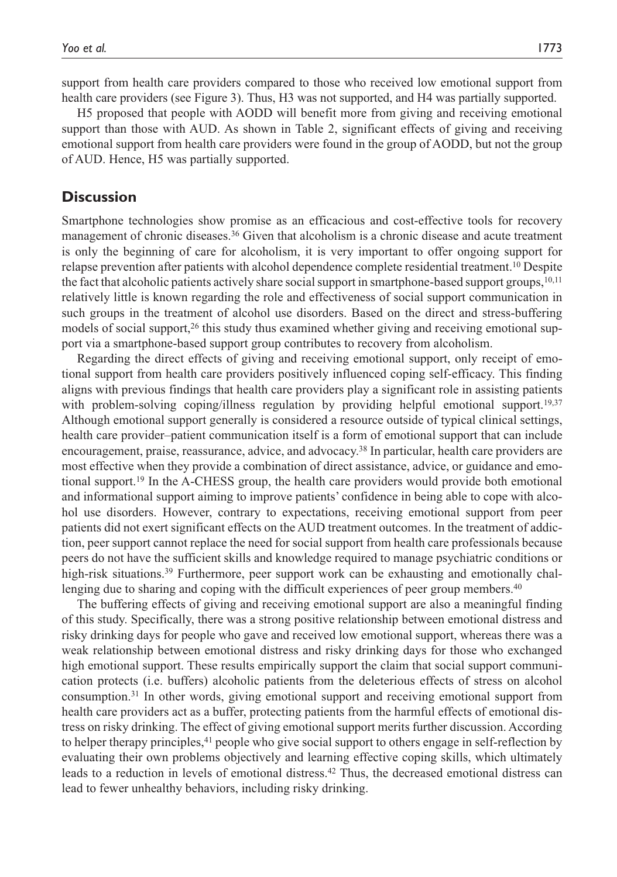support from health care providers compared to those who received low emotional support from health care providers (see Figure 3). Thus, H3 was not supported, and H4 was partially supported.

H5 proposed that people with AODD will benefit more from giving and receiving emotional support than those with AUD. As shown in Table 2, significant effects of giving and receiving emotional support from health care providers were found in the group of AODD, but not the group of AUD. Hence, H5 was partially supported.

## **Discussion**

Smartphone technologies show promise as an efficacious and cost-effective tools for recovery management of chronic diseases.<sup>36</sup> Given that alcoholism is a chronic disease and acute treatment is only the beginning of care for alcoholism, it is very important to offer ongoing support for relapse prevention after patients with alcohol dependence complete residential treatment.10 Despite the fact that alcoholic patients actively share social support in smartphone-based support groups,<sup>10,11</sup> relatively little is known regarding the role and effectiveness of social support communication in such groups in the treatment of alcohol use disorders. Based on the direct and stress-buffering models of social support,<sup>26</sup> this study thus examined whether giving and receiving emotional support via a smartphone-based support group contributes to recovery from alcoholism.

Regarding the direct effects of giving and receiving emotional support, only receipt of emotional support from health care providers positively influenced coping self-efficacy. This finding aligns with previous findings that health care providers play a significant role in assisting patients with problem-solving coping/illness regulation by providing helpful emotional support.<sup>19,37</sup> Although emotional support generally is considered a resource outside of typical clinical settings, health care provider–patient communication itself is a form of emotional support that can include encouragement, praise, reassurance, advice, and advocacy.38 In particular, health care providers are most effective when they provide a combination of direct assistance, advice, or guidance and emotional support.19 In the A-CHESS group, the health care providers would provide both emotional and informational support aiming to improve patients' confidence in being able to cope with alcohol use disorders. However, contrary to expectations, receiving emotional support from peer patients did not exert significant effects on the AUD treatment outcomes. In the treatment of addiction, peer support cannot replace the need for social support from health care professionals because peers do not have the sufficient skills and knowledge required to manage psychiatric conditions or high-risk situations.<sup>39</sup> Furthermore, peer support work can be exhausting and emotionally challenging due to sharing and coping with the difficult experiences of peer group members.<sup>40</sup>

The buffering effects of giving and receiving emotional support are also a meaningful finding of this study. Specifically, there was a strong positive relationship between emotional distress and risky drinking days for people who gave and received low emotional support, whereas there was a weak relationship between emotional distress and risky drinking days for those who exchanged high emotional support. These results empirically support the claim that social support communication protects (i.e. buffers) alcoholic patients from the deleterious effects of stress on alcohol consumption.31 In other words, giving emotional support and receiving emotional support from health care providers act as a buffer, protecting patients from the harmful effects of emotional distress on risky drinking. The effect of giving emotional support merits further discussion. According to helper therapy principles,<sup>41</sup> people who give social support to others engage in self-reflection by evaluating their own problems objectively and learning effective coping skills, which ultimately leads to a reduction in levels of emotional distress.42 Thus, the decreased emotional distress can lead to fewer unhealthy behaviors, including risky drinking.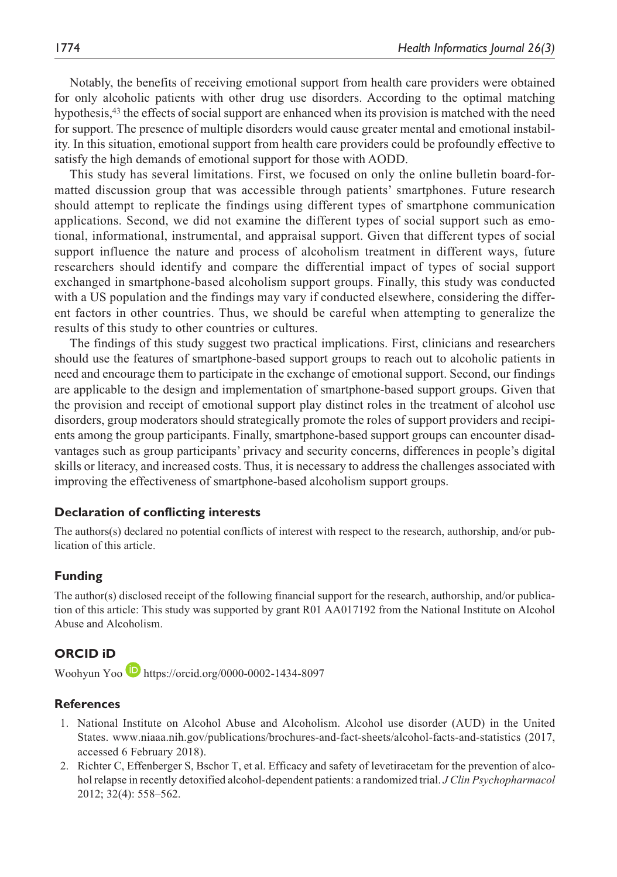Notably, the benefits of receiving emotional support from health care providers were obtained for only alcoholic patients with other drug use disorders. According to the optimal matching hypothesis,43 the effects of social support are enhanced when its provision is matched with the need for support. The presence of multiple disorders would cause greater mental and emotional instability. In this situation, emotional support from health care providers could be profoundly effective to satisfy the high demands of emotional support for those with AODD.

This study has several limitations. First, we focused on only the online bulletin board-formatted discussion group that was accessible through patients' smartphones. Future research should attempt to replicate the findings using different types of smartphone communication applications. Second, we did not examine the different types of social support such as emotional, informational, instrumental, and appraisal support. Given that different types of social support influence the nature and process of alcoholism treatment in different ways, future researchers should identify and compare the differential impact of types of social support exchanged in smartphone-based alcoholism support groups. Finally, this study was conducted with a US population and the findings may vary if conducted elsewhere, considering the different factors in other countries. Thus, we should be careful when attempting to generalize the results of this study to other countries or cultures.

The findings of this study suggest two practical implications. First, clinicians and researchers should use the features of smartphone-based support groups to reach out to alcoholic patients in need and encourage them to participate in the exchange of emotional support. Second, our findings are applicable to the design and implementation of smartphone-based support groups. Given that the provision and receipt of emotional support play distinct roles in the treatment of alcohol use disorders, group moderators should strategically promote the roles of support providers and recipients among the group participants. Finally, smartphone-based support groups can encounter disadvantages such as group participants' privacy and security concerns, differences in people's digital skills or literacy, and increased costs. Thus, it is necessary to address the challenges associated with improving the effectiveness of smartphone-based alcoholism support groups.

#### **Declaration of conflicting interests**

The authors(s) declared no potential conflicts of interest with respect to the research, authorship, and/or publication of this article.

### **Funding**

The author(s) disclosed receipt of the following financial support for the research, authorship, and/or publication of this article: This study was supported by grant R01 AA017192 from the National Institute on Alcohol Abuse and Alcoholism.

## **ORCID iD**

Woohyun Yoo **<https://orcid.org/0000-0002-1434-8097>** 

### **References**

- 1. National Institute on Alcohol Abuse and Alcoholism. Alcohol use disorder (AUD) in the United States. <www.niaaa.nih.gov/publications/brochures-and-fact-sheets/alcohol-facts-and-statistics>(2017, accessed 6 February 2018).
- 2. Richter C, Effenberger S, Bschor T, et al. Efficacy and safety of levetiracetam for the prevention of alcohol relapse in recently detoxified alcohol-dependent patients: a randomized trial. *J Clin Psychopharmacol* 2012; 32(4): 558–562.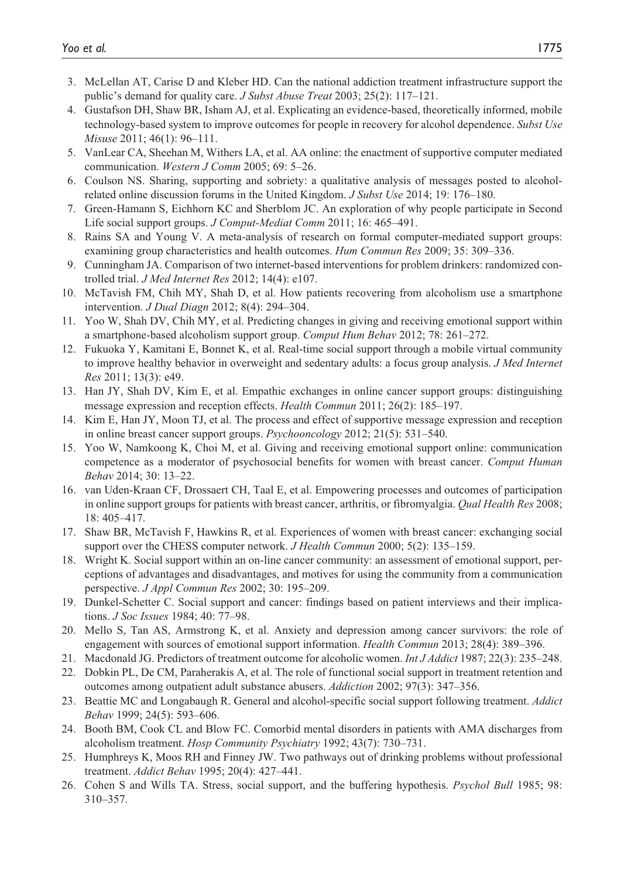- 3. McLellan AT, Carise D and Kleber HD. Can the national addiction treatment infrastructure support the public's demand for quality care. *J Subst Abuse Treat* 2003; 25(2): 117–121.
- 4. Gustafson DH, Shaw BR, Isham AJ, et al. Explicating an evidence-based, theoretically informed, mobile technology-based system to improve outcomes for people in recovery for alcohol dependence. *Subst Use Misuse* 2011; 46(1): 96–111.
- 5. VanLear CA, Sheehan M, Withers LA, et al. AA online: the enactment of supportive computer mediated communication. *Western J Comm* 2005; 69: 5–26.
- 6. Coulson NS. Sharing, supporting and sobriety: a qualitative analysis of messages posted to alcoholrelated online discussion forums in the United Kingdom. *J Subst Use* 2014; 19: 176–180.
- 7. Green-Hamann S, Eichhorn KC and Sherblom JC. An exploration of why people participate in Second Life social support groups. *J Comput-Mediat Comm* 2011; 16: 465–491.
- 8. Rains SA and Young V. A meta-analysis of research on formal computer-mediated support groups: examining group characteristics and health outcomes. *Hum Commun Res* 2009; 35: 309–336.
- 9. Cunningham JA. Comparison of two internet-based interventions for problem drinkers: randomized controlled trial. *J Med Internet Res* 2012; 14(4): e107.
- 10. McTavish FM, Chih MY, Shah D, et al. How patients recovering from alcoholism use a smartphone intervention. *J Dual Diagn* 2012; 8(4): 294–304.
- 11. Yoo W, Shah DV, Chih MY, et al. Predicting changes in giving and receiving emotional support within a smartphone-based alcoholism support group. *Comput Hum Behav* 2012; 78: 261–272.
- 12. Fukuoka Y, Kamitani E, Bonnet K, et al. Real-time social support through a mobile virtual community to improve healthy behavior in overweight and sedentary adults: a focus group analysis. *J Med Internet Res* 2011; 13(3): e49.
- 13. Han JY, Shah DV, Kim E, et al. Empathic exchanges in online cancer support groups: distinguishing message expression and reception effects. *Health Commun* 2011; 26(2): 185–197.
- 14. Kim E, Han JY, Moon TJ, et al. The process and effect of supportive message expression and reception in online breast cancer support groups. *Psychooncology* 2012; 21(5): 531–540.
- 15. Yoo W, Namkoong K, Choi M, et al. Giving and receiving emotional support online: communication competence as a moderator of psychosocial benefits for women with breast cancer. *Comput Human Behav* 2014; 30: 13–22.
- 16. van Uden-Kraan CF, Drossaert CH, Taal E, et al. Empowering processes and outcomes of participation in online support groups for patients with breast cancer, arthritis, or fibromyalgia. *Qual Health Res* 2008; 18: 405–417.
- 17. Shaw BR, McTavish F, Hawkins R, et al. Experiences of women with breast cancer: exchanging social support over the CHESS computer network. *J Health Commun* 2000; 5(2): 135–159.
- 18. Wright K. Social support within an on-line cancer community: an assessment of emotional support, perceptions of advantages and disadvantages, and motives for using the community from a communication perspective. *J Appl Commun Res* 2002; 30: 195–209.
- 19. Dunkel-Schetter C. Social support and cancer: findings based on patient interviews and their implications. *J Soc Issues* 1984; 40: 77–98.
- 20. Mello S, Tan AS, Armstrong K, et al. Anxiety and depression among cancer survivors: the role of engagement with sources of emotional support information. *Health Commun* 2013; 28(4): 389–396.
- 21. Macdonald JG. Predictors of treatment outcome for alcoholic women. *Int J Addict* 1987; 22(3): 235–248.
- 22. Dobkin PL, De CM, Paraherakis A, et al. The role of functional social support in treatment retention and outcomes among outpatient adult substance abusers. *Addiction* 2002; 97(3): 347–356.
- 23. Beattie MC and Longabaugh R. General and alcohol-specific social support following treatment. *Addict Behav* 1999; 24(5): 593–606.
- 24. Booth BM, Cook CL and Blow FC. Comorbid mental disorders in patients with AMA discharges from alcoholism treatment. *Hosp Community Psychiatry* 1992; 43(7): 730–731.
- 25. Humphreys K, Moos RH and Finney JW. Two pathways out of drinking problems without professional treatment. *Addict Behav* 1995; 20(4): 427–441.
- 26. Cohen S and Wills TA. Stress, social support, and the buffering hypothesis. *Psychol Bull* 1985; 98: 310–357.